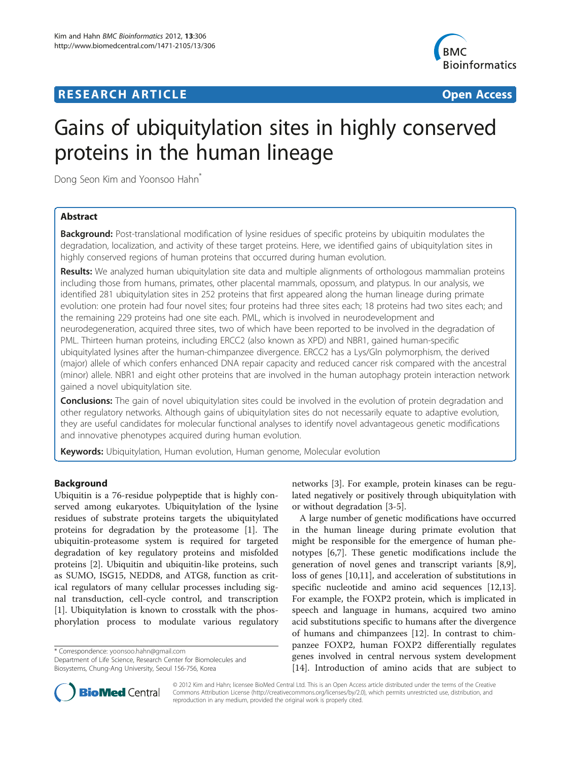# **RESEARCH ARTICLE Example 2014 CONSIDERING CONSIDERING CONSIDERING CONSIDERING CONSIDERING CONSIDERING CONSIDERING CONSIDERING CONSIDERING CONSIDERING CONSIDERING CONSIDERING CONSIDERING CONSIDERING CONSIDERING CONSIDE**



# Gains of ubiquitylation sites in highly conserved proteins in the human lineage

Dong Seon Kim and Yoonsoo Hahn<sup>\*</sup>

### Abstract

**Background:** Post-translational modification of lysine residues of specific proteins by ubiquitin modulates the degradation, localization, and activity of these target proteins. Here, we identified gains of ubiquitylation sites in highly conserved regions of human proteins that occurred during human evolution.

Results: We analyzed human ubiquitylation site data and multiple alignments of orthologous mammalian proteins including those from humans, primates, other placental mammals, opossum, and platypus. In our analysis, we identified 281 ubiquitylation sites in 252 proteins that first appeared along the human lineage during primate evolution: one protein had four novel sites; four proteins had three sites each; 18 proteins had two sites each; and the remaining 229 proteins had one site each. PML, which is involved in neurodevelopment and neurodegeneration, acquired three sites, two of which have been reported to be involved in the degradation of PML. Thirteen human proteins, including ERCC2 (also known as XPD) and NBR1, gained human-specific ubiquitylated lysines after the human-chimpanzee divergence. ERCC2 has a Lys/Gln polymorphism, the derived (major) allele of which confers enhanced DNA repair capacity and reduced cancer risk compared with the ancestral (minor) allele. NBR1 and eight other proteins that are involved in the human autophagy protein interaction network gained a novel ubiquitylation site.

**Conclusions:** The gain of novel ubiquitylation sites could be involved in the evolution of protein degradation and other regulatory networks. Although gains of ubiquitylation sites do not necessarily equate to adaptive evolution, they are useful candidates for molecular functional analyses to identify novel advantageous genetic modifications and innovative phenotypes acquired during human evolution.

Keywords: Ubiquitylation, Human evolution, Human genome, Molecular evolution

#### Background

Ubiquitin is a 76-residue polypeptide that is highly conserved among eukaryotes. Ubiquitylation of the lysine residues of substrate proteins targets the ubiquitylated proteins for degradation by the proteasome [\[1](#page-8-0)]. The ubiquitin-proteasome system is required for targeted degradation of key regulatory proteins and misfolded proteins [\[2\]](#page-8-0). Ubiquitin and ubiquitin-like proteins, such as SUMO, ISG15, NEDD8, and ATG8, function as critical regulators of many cellular processes including signal transduction, cell-cycle control, and transcription [[1\]](#page-8-0). Ubiquitylation is known to crosstalk with the phosphorylation process to modulate various regulatory

\* Correspondence: [yoonsoo.hahn@gmail.com](mailto:yoonsoo.hahn@gmail.com)

Department of Life Science, Research Center for Biomolecules and Biosystems, Chung-Ang University, Seoul 156-756, Korea



A large number of genetic modifications have occurred in the human lineage during primate evolution that might be responsible for the emergence of human phenotypes [\[6,7](#page-8-0)]. These genetic modifications include the generation of novel genes and transcript variants [\[8,9](#page-8-0)], loss of genes [\[10,11](#page-8-0)], and acceleration of substitutions in specific nucleotide and amino acid sequences [\[12,13](#page-8-0)]. For example, the FOXP2 protein, which is implicated in speech and language in humans, acquired two amino acid substitutions specific to humans after the divergence of humans and chimpanzees [[12](#page-8-0)]. In contrast to chimpanzee FOXP2, human FOXP2 differentially regulates genes involved in central nervous system development [[14\]](#page-8-0). Introduction of amino acids that are subject to



© 2012 Kim and Hahn; licensee BioMed Central Ltd. This is an Open Access article distributed under the terms of the Creative Commons Attribution License [\(http://creativecommons.org/licenses/by/2.0\)](http://creativecommons.org/licenses/by/2.0), which permits unrestricted use, distribution, and reproduction in any medium, provided the original work is properly cited.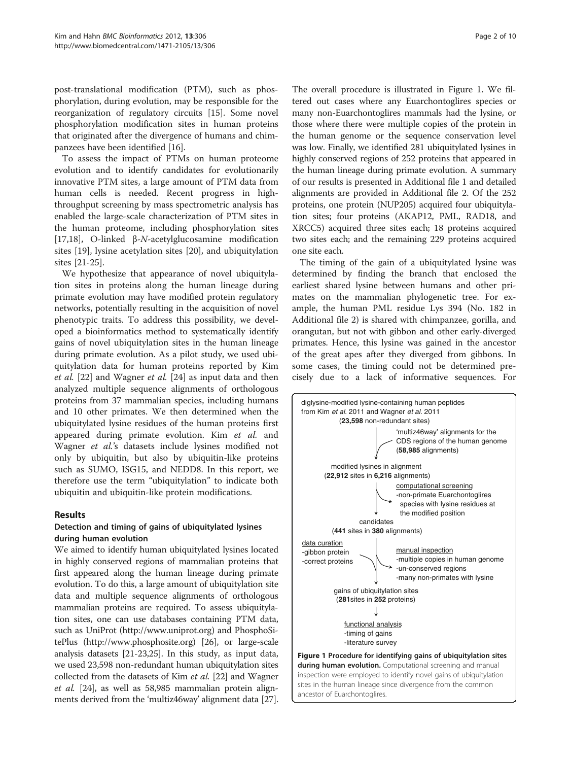<span id="page-1-0"></span>post-translational modification (PTM), such as phosphorylation, during evolution, may be responsible for the reorganization of regulatory circuits [[15\]](#page-8-0). Some novel phosphorylation modification sites in human proteins that originated after the divergence of humans and chimpanzees have been identified [[16](#page-8-0)].

To assess the impact of PTMs on human proteome evolution and to identify candidates for evolutionarily innovative PTM sites, a large amount of PTM data from human cells is needed. Recent progress in highthroughput screening by mass spectrometric analysis has enabled the large-scale characterization of PTM sites in the human proteome, including phosphorylation sites [[17,18\]](#page-8-0), O-linked β-N-acetylglucosamine modification sites [[19\]](#page-8-0), lysine acetylation sites [[20\]](#page-8-0), and ubiquitylation sites [[21](#page-8-0)-[25\]](#page-9-0).

We hypothesize that appearance of novel ubiquitylation sites in proteins along the human lineage during primate evolution may have modified protein regulatory networks, potentially resulting in the acquisition of novel phenotypic traits. To address this possibility, we developed a bioinformatics method to systematically identify gains of novel ubiquitylation sites in the human lineage during primate evolution. As a pilot study, we used ubiquitylation data for human proteins reported by Kim et al. [[22\]](#page-9-0) and Wagner et al. [\[24\]](#page-9-0) as input data and then analyzed multiple sequence alignments of orthologous proteins from 37 mammalian species, including humans and 10 other primates. We then determined when the ubiquitylated lysine residues of the human proteins first appeared during primate evolution. Kim et al. and Wagner et al.'s datasets include lysines modified not only by ubiquitin, but also by ubiquitin-like proteins such as SUMO, ISG15, and NEDD8. In this report, we therefore use the term "ubiquitylation" to indicate both ubiquitin and ubiquitin-like protein modifications.

#### Results

#### Detection and timing of gains of ubiquitylated lysines during human evolution

We aimed to identify human ubiquitylated lysines located in highly conserved regions of mammalian proteins that first appeared along the human lineage during primate evolution. To do this, a large amount of ubiquitylation site data and multiple sequence alignments of orthologous mammalian proteins are required. To assess ubiquitylation sites, one can use databases containing PTM data, such as UniProt ([http://www.uniprot.org\)](http://www.uniprot.org) and PhosphoSitePlus [\(http://www.phosphosite.org](http://www.phosphosite.org)) [\[26\]](#page-9-0), or large-scale analysis datasets [[21](#page-8-0)-[23,25](#page-9-0)]. In this study, as input data, we used 23,598 non-redundant human ubiquitylation sites collected from the datasets of Kim et al. [\[22\]](#page-9-0) and Wagner et al. [\[24\]](#page-9-0), as well as 58,985 mammalian protein alignments derived from the 'multiz46way' alignment data [[27](#page-9-0)]. The overall procedure is illustrated in Figure 1. We filtered out cases where any Euarchontoglires species or many non-Euarchontoglires mammals had the lysine, or those where there were multiple copies of the protein in the human genome or the sequence conservation level was low. Finally, we identified 281 ubiquitylated lysines in highly conserved regions of 252 proteins that appeared in the human lineage during primate evolution. A summary of our results is presented in Additional file [1](#page-8-0) and detailed alignments are provided in Additional file [2](#page-8-0). Of the 252 proteins, one protein (NUP205) acquired four ubiquitylation sites; four proteins (AKAP12, PML, RAD18, and XRCC5) acquired three sites each; 18 proteins acquired two sites each; and the remaining 229 proteins acquired one site each.

The timing of the gain of a ubiquitylated lysine was determined by finding the branch that enclosed the earliest shared lysine between humans and other primates on the mammalian phylogenetic tree. For example, the human PML residue Lys 394 (No. 182 in Additional file [2\)](#page-8-0) is shared with chimpanzee, gorilla, and orangutan, but not with gibbon and other early-diverged primates. Hence, this lysine was gained in the ancestor of the great apes after they diverged from gibbons. In some cases, the timing could not be determined precisely due to a lack of informative sequences. For

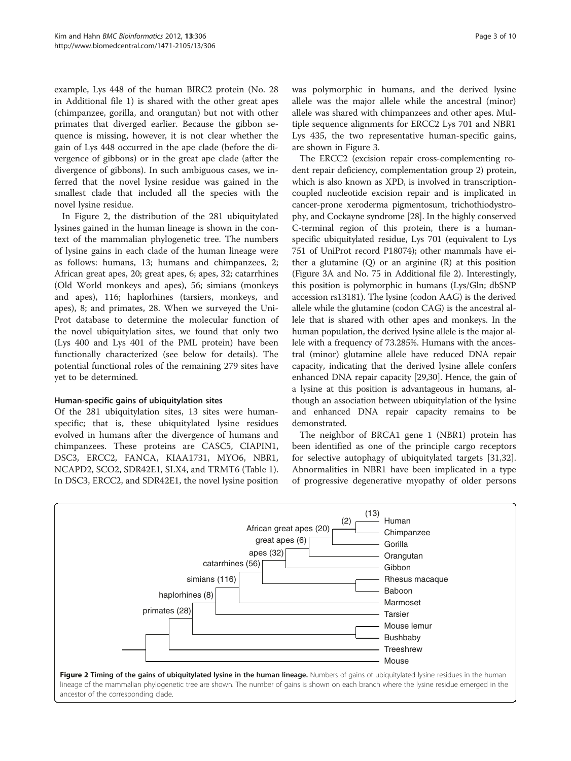example, Lys 448 of the human BIRC2 protein (No. 28 in Additional file [1\)](#page-8-0) is shared with the other great apes (chimpanzee, gorilla, and orangutan) but not with other primates that diverged earlier. Because the gibbon sequence is missing, however, it is not clear whether the gain of Lys 448 occurred in the ape clade (before the divergence of gibbons) or in the great ape clade (after the divergence of gibbons). In such ambiguous cases, we inferred that the novel lysine residue was gained in the smallest clade that included all the species with the novel lysine residue.

In Figure 2, the distribution of the 281 ubiquitylated lysines gained in the human lineage is shown in the context of the mammalian phylogenetic tree. The numbers of lysine gains in each clade of the human lineage were as follows: humans, 13; humans and chimpanzees, 2; African great apes, 20; great apes, 6; apes, 32; catarrhines (Old World monkeys and apes), 56; simians (monkeys and apes), 116; haplorhines (tarsiers, monkeys, and apes), 8; and primates, 28. When we surveyed the Uni-Prot database to determine the molecular function of the novel ubiquitylation sites, we found that only two (Lys 400 and Lys 401 of the PML protein) have been functionally characterized (see below for details). The potential functional roles of the remaining 279 sites have yet to be determined.

#### Human-specific gains of ubiquitylation sites

Of the 281 ubiquitylation sites, 13 sites were humanspecific; that is, these ubiquitylated lysine residues evolved in humans after the divergence of humans and chimpanzees. These proteins are CASC5, CIAPIN1, DSC3, ERCC2, FANCA, KIAA1731, MYO6, NBR1, NCAPD2, SCO2, SDR42E1, SLX4, and TRMT6 (Table [1](#page-3-0)). In DSC3, ERCC2, and SDR42E1, the novel lysine position was polymorphic in humans, and the derived lysine allele was the major allele while the ancestral (minor) allele was shared with chimpanzees and other apes. Multiple sequence alignments for ERCC2 Lys 701 and NBR1 Lys 435, the two representative human-specific gains, are shown in Figure [3](#page-3-0).

The ERCC2 (excision repair cross-complementing rodent repair deficiency, complementation group 2) protein, which is also known as XPD, is involved in transcriptioncoupled nucleotide excision repair and is implicated in cancer-prone xeroderma pigmentosum, trichothiodystrophy, and Cockayne syndrome [[28](#page-9-0)]. In the highly conserved C-terminal region of this protein, there is a humanspecific ubiquitylated residue, Lys 701 (equivalent to Lys 751 of UniProt record P18074); other mammals have either a glutamine  $(Q)$  or an arginine  $(R)$  at this position (Figure [3](#page-3-0)A and No. 75 in Additional file [2](#page-8-0)). Interestingly, this position is polymorphic in humans (Lys/Gln; dbSNP accession rs13181). The lysine (codon AAG) is the derived allele while the glutamine (codon CAG) is the ancestral allele that is shared with other apes and monkeys. In the human population, the derived lysine allele is the major allele with a frequency of 73.285%. Humans with the ancestral (minor) glutamine allele have reduced DNA repair capacity, indicating that the derived lysine allele confers enhanced DNA repair capacity [\[29,30](#page-9-0)]. Hence, the gain of a lysine at this position is advantageous in humans, although an association between ubiquitylation of the lysine and enhanced DNA repair capacity remains to be demonstrated.

The neighbor of BRCA1 gene 1 (NBR1) protein has been identified as one of the principle cargo receptors for selective autophagy of ubiquitylated targets [\[31,32](#page-9-0)]. Abnormalities in NBR1 have been implicated in a type of progressive degenerative myopathy of older persons

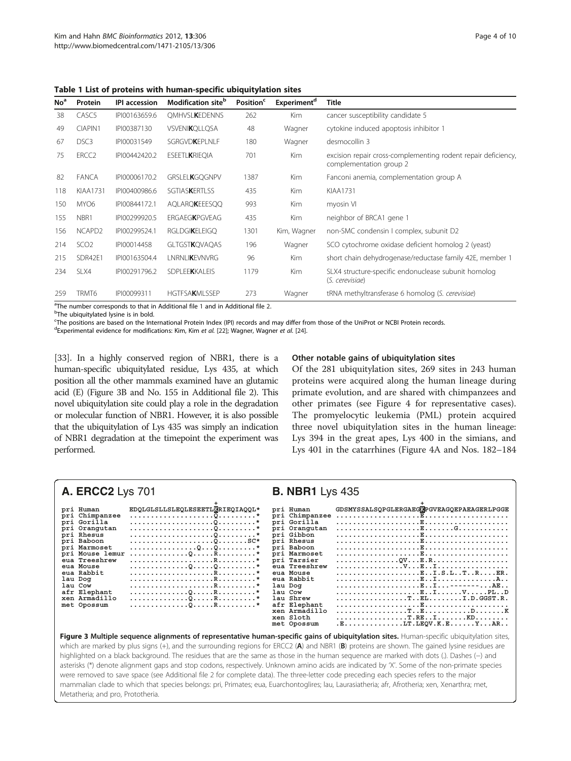| No <sup>a</sup> | Protein            | <b>IPI</b> accession | Modification site <sup>b</sup> | Position <sup>c</sup> | Experiment <sup>d</sup> | Title                                                                                    |
|-----------------|--------------------|----------------------|--------------------------------|-----------------------|-------------------------|------------------------------------------------------------------------------------------|
| 38              | CASC <sub>5</sub>  | IPI00163659.6        | <b>OMHVSLKEDENNS</b>           | 262                   | Kim                     | cancer susceptibility candidate 5                                                        |
| 49              | CIAPIN1            | IPI00387130          | <b>VSVENIKQLLQSA</b>           | 48                    | Wagner                  | cytokine induced apoptosis inhibitor 1                                                   |
| 67              | DSC <sub>3</sub>   | IPI00031549          | <b>SGRGVDKEPLNLF</b>           | 180                   | Wagner                  | desmocollin 3                                                                            |
| 75              | ERCC <sub>2</sub>  | IPI00442420.2        | <b>ESEETLKRIEQIA</b>           | 701                   | <b>Kim</b>              | excision repair cross-complementing rodent repair deficiency,<br>complementation group 2 |
| 82              | <b>FANCA</b>       | IPI00006170.2        | GRSLELKGQGNPV                  | 1387                  | Kim                     | Fanconi anemia, complementation group A                                                  |
| 118             | <b>KIAA1731</b>    | IPI00400986.6        | <b>SGTIASKERTLSS</b>           | 435                   | Kim                     | <b>KIAA1731</b>                                                                          |
| 150             | MYO6               | IPI00844172.1        | AQLARQKEEESQQ                  | 993                   | Kim                     | myosin VI                                                                                |
| 155             | NBR1               | IPI00299920.5        | <b>ERGAEGKPGVEAG</b>           | 435                   | Kim                     | neighbor of BRCA1 gene 1                                                                 |
| 156             | NCAPD <sub>2</sub> | IPI00299524.1        | <b>RGLDGIKELEIGO</b>           | 1301                  | Kim, Wagner             | non-SMC condensin I complex, subunit D2                                                  |
| 214             | SCO <sub>2</sub>   | IPI00014458          | GLTGST <b>K</b> QVAQAS         | 196                   | Wagner                  | SCO cytochrome oxidase deficient homolog 2 (yeast)                                       |
| 215             | SDR42E1            | IPI00163504.4        | <b>LNRNLIKEVNVRG</b>           | 96                    | <b>Kim</b>              | short chain dehydrogenase/reductase family 42E, member 1                                 |
| 234             | SLX4               | IPI00291796.2        | <b>SDPLEEKKALEIS</b>           | 1179                  | <b>Kim</b>              | SLX4 structure-specific endonuclease subunit homolog<br>(S. cerevisiae)                  |
| 259             | TRMT6              | IPI00099311          | <b>HGTFSAKMLSSEP</b>           | 273                   | Wagner                  | tRNA methyltransferase 6 homolog (S. cerevisiae)                                         |

<span id="page-3-0"></span>Table 1 List of proteins with human-specific ubiquitylation sites

<sup>a</sup>The number corresponds to that in Additional file [1](#page-8-0) and in Additional file [2.](#page-8-0)<br><sup>b</sup>The ubiquitylated lysine is in bold

<sup>b</sup>The ubiquitylated lysine is in bold.

c The positions are based on the International Protein Index (IPI) records and may differ from those of the UniProt or NCBI Protein records.

<sup>d</sup>Experimental evidence for modifications: Kim, Kim et al. [\[22](#page-9-0)]; Wagner, Wagner et al. [\[24](#page-9-0)].

[[33\]](#page-9-0). In a highly conserved region of NBR1, there is a human-specific ubiquitylated residue, Lys 435, at which position all the other mammals examined have an glutamic acid (E) (Figure 3B and No. 155 in Additional file [2\)](#page-8-0). This novel ubiquitylation site could play a role in the degradation or molecular function of NBR1. However, it is also possible that the ubiquitylation of Lys 435 was simply an indication of NBR1 degradation at the timepoint the experiment was performed.

#### Other notable gains of ubiquitylation sites

Of the 281 ubiquitylation sites, 269 sites in 243 human proteins were acquired along the human lineage during primate evolution, and are shared with chimpanzees and other primates (see Figure [4](#page-4-0) for representative cases). The promyelocytic leukemia (PML) protein acquired three novel ubiquitylation sites in the human lineage: Lys 394 in the great apes, Lys 400 in the simians, and Lys 401 in the catarrhines (Figure [4A](#page-4-0) and Nos. 182–184

| <b>A. ERCC2</b> Lys 701                                                                                                                                                                                                   |                                                                     | <b>B. NBR1</b> Lys 435                                                                                                                                                                                                                                                           |                                                                                                                                                                   |  |  |
|---------------------------------------------------------------------------------------------------------------------------------------------------------------------------------------------------------------------------|---------------------------------------------------------------------|----------------------------------------------------------------------------------------------------------------------------------------------------------------------------------------------------------------------------------------------------------------------------------|-------------------------------------------------------------------------------------------------------------------------------------------------------------------|--|--|
| pri Human<br>pri Chimpanzee<br>pri Gorilla<br>pri Orangutan<br>pri Rhesus<br>pri Baboon<br>pri Marmoset<br>eua Treeshrew<br>eua Mouse<br>eua Rabbit<br>lau Dog<br>lau Cow<br>afr Elephant<br>xen Armadillo<br>met Opossum | EDQLGLSLLSLEQLESEETLKRIEQIAQQL*<br>. 0. 0. *<br>pri Mouse lemur QR* | pri Human<br>pri Chimpanzee<br>pri Gorilla<br>pri Oranqutan<br>pri Gibbon<br>pri Rhesus<br>pri Baboon<br>pri Marmoset<br>pri Tarsier<br>eua Treeshrew<br>eua Mouse<br>eua Rabbit<br>lau Dog<br>lau Cow<br>lau Shrew<br>afr Elephant<br>xen Armadillo<br>xen Sloth<br>met Opossum | GDSMYSSALSQPGLERGAEGKPGVEAGQEPAEAGERLPGGE<br>EI.S.LTRER.<br>EIVPLD<br>$\ldots \ldots \ldots \ldots \ldots \ldots$ ELI.D.GGST.R.<br>T.REIKD<br>$.E$ IT.LEQV.K.EYAR |  |  |
|                                                                                                                                                                                                                           |                                                                     |                                                                                                                                                                                                                                                                                  |                                                                                                                                                                   |  |  |

Figure 3 Multiple sequence alignments of representative human-specific gains of ubiquitylation sites. Human-specific ubiquitylation sites, which are marked by plus signs (+), and the surrounding regions for ERCC2 (A) and NBR1 (B) proteins are shown. The gained lysine residues are highlighted on a black background. The residues that are the same as those in the human sequence are marked with dots (.). Dashes (−) and asterisks (\*) denote alignment gaps and stop codons, respectively. Unknown amino acids are indicated by 'X'. Some of the non-primate species were removed to save space (see Additional file [2](#page-8-0) for complete data). The three-letter code preceding each species refers to the major mammalian clade to which that species belongs: pri, Primates; eua, Euarchontoglires; lau, Laurasiatheria; afr, Afrotheria; xen, Xenarthra; met, Metatheria; and pro, Prototheria.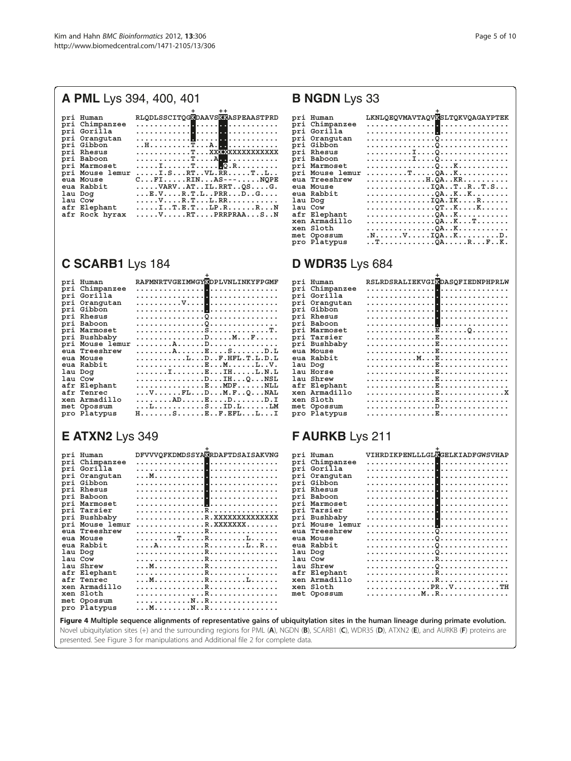# <span id="page-4-0"></span>**A PML** Lys 394, 400, 401

|                 | $^{\mathrm{+}}$                                                                                              |
|-----------------|--------------------------------------------------------------------------------------------------------------|
| pri Human       | RLODLSSCITOGKDAAVSKKASPEAASTPRD                                                                              |
| pri Chimpanzee  |                                                                                                              |
| pri Gorilla     |                                                                                                              |
| pri Oranqutan   |                                                                                                              |
| pri Gibbon      | . . H T A . <b>. .</b>                                                                                       |
| pri Rhesus      |                                                                                                              |
| pri Baboon      | .T. A <sub>. .</sub>                                                                                         |
| pri Marmoset    |                                                                                                              |
| pri Mouse lemur |                                                                                                              |
| eua Mouse       | $C \ldots F1 \ldots RIN \ldots AS-- \ldots NOPE$                                                             |
| eua Rabbit      | $\ldots$ . VARVATIL.RRTQSG.                                                                                  |
| lau Dog         | $\dots$ E.V. $\dots$ .R.T.LPRRDG                                                                             |
| lau Cow         | . V R . T L . RR                                                                                             |
| afr Elephant    | $\ldots$ . I T. E. T . LP. R R . N                                                                           |
| afr Rock hyrax  | $\ldots \ldots \nabla \ldots \ldots \texttt{RT} \ldots \texttt{PRRPRAA} \ldots \texttt{S} \ldots \texttt{N}$ |

# **C SCARB1** Lys 184

| pri | Human           | RAFMNRTVGEIMWGYKDPLVNLINKYFPGMF                                                                |
|-----|-----------------|------------------------------------------------------------------------------------------------|
|     | pri Chimpanzee  |                                                                                                |
|     | pri Gorilla     |                                                                                                |
| pri | Oranqutan       |                                                                                                |
|     | pri Gibbon      |                                                                                                |
|     | pri Rhesus      |                                                                                                |
|     | pri Baboon      |                                                                                                |
|     | pri Marmoset    |                                                                                                |
|     | pri Bushbaby    |                                                                                                |
|     | pri Mouse lemur |                                                                                                |
|     | eua Treeshrew   |                                                                                                |
|     | eua Mouse       | LDF.HFL.T.L.D.L                                                                                |
|     | eua Rabbit      |                                                                                                |
|     | lau Dog         | . I E IH. L . N . L                                                                            |
|     | lau Cow         |                                                                                                |
|     | afr Elephant    | $\ldots \ldots \ldots \ldots \ldots \mathbb{E} \ldots \mathsf{MDF} \ldots \ldots \mathsf{NLL}$ |
|     | afr Tenrec      | $\ldots$ VFLD $M.F., Q.$ $NAL$                                                                 |
|     | xen Armadillo   | . AD E D D . I                                                                                 |
|     | met Opossum     | . L S ID . L LM                                                                                |
|     | pro Platypus    | $H_1, \ldots, S_1, \ldots, E_n, F, EFL, L, I$                                                  |

# **E ATXN2** Lys 349

| pri Human       | DFVVVQFKDMDSSYAKRDAFTDSAISAKVNG                                                                                                     | pri Human       | VIHRDIKPENLLLGLKGELKIADFGWSVHAP |
|-----------------|-------------------------------------------------------------------------------------------------------------------------------------|-----------------|---------------------------------|
| pri Chimpanzee  |                                                                                                                                     | pri Chimpanzee  |                                 |
| pri Gorilla     |                                                                                                                                     | pri Gorilla     |                                 |
| pri Orangutan   |                                                                                                                                     | pri Orangutan   |                                 |
| pri Gibbon      |                                                                                                                                     | pri Gibbon      |                                 |
| pri Rhesus      |                                                                                                                                     | pri Rhesus      |                                 |
| pri Baboon      |                                                                                                                                     | pri Baboon      |                                 |
| pri Marmoset    |                                                                                                                                     | pri Marmoset    |                                 |
| pri Tarsier     |                                                                                                                                     | pri Tarsier     |                                 |
| pri Bushbaby    | R.XXXXXXXXXXXXX                                                                                                                     | pri Bushbaby    |                                 |
| pri Mouse lemur |                                                                                                                                     | pri Mouse lemur |                                 |
| eua Treeshrew   |                                                                                                                                     | eua Treeshrew   |                                 |
| eua Mouse       |                                                                                                                                     | eua Mouse       |                                 |
| eua Rabbit      |                                                                                                                                     | eua Rabbit      |                                 |
| lau Dog         | .R.                                                                                                                                 | lau Dog         |                                 |
| lau Cow         |                                                                                                                                     | lau Cow         |                                 |
| lau Shrew       |                                                                                                                                     | lau Shrew       |                                 |
| afr Elephant    |                                                                                                                                     | afr Elephant    |                                 |
| afr Tenrec      |                                                                                                                                     | xen Armadillo   |                                 |
| xen Armadillo   |                                                                                                                                     | xen Sloth       | . PR. . V TH                    |
| xen Sloth       |                                                                                                                                     | met Opossum     |                                 |
| met Opossum     |                                                                                                                                     |                 |                                 |
| pro Platypus    |                                                                                                                                     |                 |                                 |
|                 | Eiguua A Multiple companes alignments of vonvocantative gaine of ubiquitulation sites in the buman lineage duving primate ovalution |                 |                                 |

#### Figure 4 Multiple sequence alignments of representative gains of ubiquitylation sites in the human lineage during primate evolution. Novel ubiquitylation sites (+) and the surrounding regions for PML (A), NGDN (B), SCARB1 (C), WDR35 (D), ATXN2 (E), and AURKB (F) proteins are presented. See Figure [3](#page-3-0) for manipulations and Additional file [2](#page-8-0) for complete data.

## **B NGDN** Lys 33

|     | pri Human       | LKNLOEOVMAVTAOVKSLTOKVOAGAYPTEK |
|-----|-----------------|---------------------------------|
|     | pri Chimpanzee  |                                 |
|     | pri Gorilla     |                                 |
|     | pri Oranqutan   |                                 |
|     | pri Gibbon      |                                 |
|     | pri Rhesus      |                                 |
|     | pri Baboon      |                                 |
|     | pri Marmoset    |                                 |
|     | pri Mouse lemur | .T <u>Q</u> AK                  |
|     | eua Treeshrew   | . H . QA KR                     |
|     | eua Mouse       | . IQA. . T. . R. . T. S.        |
|     | eua Rabbit      | . QA K K                        |
| lau | Dog             | . IQA . IK R                    |
|     | lau Cow         | . QT K K                        |
|     | afr Elephant    | . <u>0</u> A. . K.              |
|     | xen Armadillo   | . QA K T                        |
|     | xen Sloth       | . <u>Q</u> A. . K.              |
|     | met Opossum     | .N. V IQA. . K D .              |
|     | pro Platypus    | . . T <u>Q</u> A R F K .        |

| <b>D WDR35</b> Lys 684                                             |                                                                                                              |                                                    |  |  |  |  |
|--------------------------------------------------------------------|--------------------------------------------------------------------------------------------------------------|----------------------------------------------------|--|--|--|--|
| pri<br>pri<br>pri<br>pri<br>pri<br>pri<br>pri<br>pri<br>pri<br>pri | Human<br>Chimpanzee<br>Gorilla<br>Orangutan<br>Gibbon<br>Rhesus<br>Baboon<br>Marmoset<br>Tarsier<br>Bushbaby | RSLRDSRALIEKVGIKDASOFIEDNPHPRLW<br><b>.</b><br>. 1 |  |  |  |  |
|                                                                    |                                                                                                              |                                                    |  |  |  |  |
| eua                                                                | Mouse                                                                                                        |                                                    |  |  |  |  |
| eua                                                                | Rabbit                                                                                                       |                                                    |  |  |  |  |
| lau                                                                | Doq                                                                                                          |                                                    |  |  |  |  |
| lau                                                                | Horse                                                                                                        |                                                    |  |  |  |  |
| lau                                                                | Shrew                                                                                                        |                                                    |  |  |  |  |
| afr                                                                | Elephant                                                                                                     |                                                    |  |  |  |  |
| xen                                                                | Armadillo                                                                                                    |                                                    |  |  |  |  |
| xen                                                                | Sloth                                                                                                        |                                                    |  |  |  |  |
| met                                                                | Opossum                                                                                                      |                                                    |  |  |  |  |
| pro                                                                | Platypus                                                                                                     |                                                    |  |  |  |  |

| afr Elephant<br>xen Armadillo<br>xen Sloth<br>met Opossum<br>pro Platypus | . E                             |  |
|---------------------------------------------------------------------------|---------------------------------|--|
| FAURKB Lys 211                                                            |                                 |  |
| pri Human                                                                 | VIHRDIKPENLLLGLKGELKIADFGWSVHAP |  |
| pri Chimpanzee                                                            |                                 |  |
| pri Gorilla                                                               |                                 |  |
| pri Oranqutan                                                             |                                 |  |
| pri Gibbon                                                                |                                 |  |
| pri Rhesus                                                                |                                 |  |
| pri Baboon                                                                |                                 |  |
| pri Marmoset                                                              |                                 |  |
| pri Tarsier                                                               |                                 |  |
| pri Bushbaby                                                              |                                 |  |
| pri Mouse lemur                                                           |                                 |  |
| aug Theography                                                            | $\sim$ $\sim$ $\sim$            |  |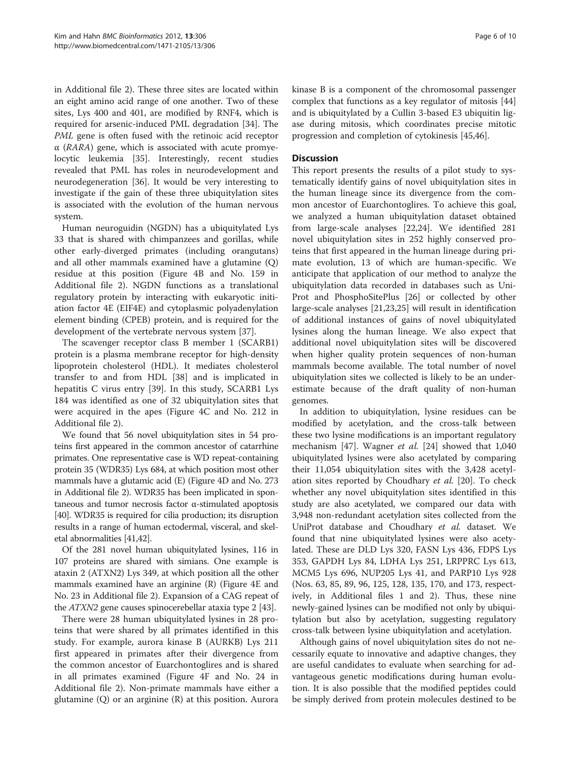in Additional file [2\)](#page-8-0). These three sites are located within an eight amino acid range of one another. Two of these sites, Lys 400 and 401, are modified by RNF4, which is required for arsenic-induced PML degradation [[34\]](#page-9-0). The PML gene is often fused with the retinoic acid receptor  $\alpha$  (RARA) gene, which is associated with acute promyelocytic leukemia [\[35](#page-9-0)]. Interestingly, recent studies revealed that PML has roles in neurodevelopment and neurodegeneration [[36\]](#page-9-0). It would be very interesting to investigate if the gain of these three ubiquitylation sites is associated with the evolution of the human nervous system.

Human neuroguidin (NGDN) has a ubiquitylated Lys 33 that is shared with chimpanzees and gorillas, while other early-diverged primates (including orangutans) and all other mammals examined have a glutamine (Q) residue at this position (Figure [4B](#page-4-0) and No. 159 in Additional file [2\)](#page-8-0). NGDN functions as a translational regulatory protein by interacting with eukaryotic initiation factor 4E (EIF4E) and cytoplasmic polyadenylation element binding (CPEB) protein, and is required for the development of the vertebrate nervous system [\[37](#page-9-0)].

The scavenger receptor class B member 1 (SCARB1) protein is a plasma membrane receptor for high-density lipoprotein cholesterol (HDL). It mediates cholesterol transfer to and from HDL [[38\]](#page-9-0) and is implicated in hepatitis C virus entry [\[39\]](#page-9-0). In this study, SCARB1 Lys 184 was identified as one of 32 ubiquitylation sites that were acquired in the apes (Figure [4](#page-4-0)C and No. 212 in Additional file [2\)](#page-8-0).

We found that 56 novel ubiquitylation sites in 54 proteins first appeared in the common ancestor of catarrhine primates. One representative case is WD repeat-containing protein 35 (WDR35) Lys 684, at which position most other mammals have a glutamic acid (E) (Figure [4D](#page-4-0) and No. 273 in Additional file [2\)](#page-8-0). WDR35 has been implicated in spontaneous and tumor necrosis factor α-stimulated apoptosis [[40](#page-9-0)]. WDR35 is required for cilia production; its disruption results in a range of human ectodermal, visceral, and skeletal abnormalities [\[41,42](#page-9-0)].

Of the 281 novel human ubiquitylated lysines, 116 in 107 proteins are shared with simians. One example is ataxin 2 (ATXN2) Lys 349, at which position all the other mammals examined have an arginine (R) (Figure [4](#page-4-0)E and No. 23 in Additional file [2\)](#page-8-0). Expansion of a CAG repeat of the ATXN2 gene causes spinocerebellar ataxia type 2 [\[43\]](#page-9-0).

There were 28 human ubiquitylated lysines in 28 proteins that were shared by all primates identified in this study. For example, aurora kinase B (AURKB) Lys 211 first appeared in primates after their divergence from the common ancestor of Euarchontoglires and is shared in all primates examined (Figure [4F](#page-4-0) and No. 24 in Additional file [2](#page-8-0)). Non-primate mammals have either a glutamine (Q) or an arginine (R) at this position. Aurora kinase B is a component of the chromosomal passenger complex that functions as a key regulator of mitosis [[44](#page-9-0)] and is ubiquitylated by a Cullin 3-based E3 ubiquitin ligase during mitosis, which coordinates precise mitotic progression and completion of cytokinesis [[45](#page-9-0),[46](#page-9-0)].

#### **Discussion**

This report presents the results of a pilot study to systematically identify gains of novel ubiquitylation sites in the human lineage since its divergence from the common ancestor of Euarchontoglires. To achieve this goal, we analyzed a human ubiquitylation dataset obtained from large-scale analyses [[22,24\]](#page-9-0). We identified 281 novel ubiquitylation sites in 252 highly conserved proteins that first appeared in the human lineage during primate evolution, 13 of which are human-specific. We anticipate that application of our method to analyze the ubiquitylation data recorded in databases such as Uni-Prot and PhosphoSitePlus [[26\]](#page-9-0) or collected by other large-scale analyses [\[21,](#page-8-0)[23,25\]](#page-9-0) will result in identification of additional instances of gains of novel ubiquitylated lysines along the human lineage. We also expect that additional novel ubiquitylation sites will be discovered when higher quality protein sequences of non-human mammals become available. The total number of novel ubiquitylation sites we collected is likely to be an underestimate because of the draft quality of non-human genomes.

In addition to ubiquitylation, lysine residues can be modified by acetylation, and the cross-talk between these two lysine modifications is an important regulatory mechanism [[47\]](#page-9-0). Wagner et al. [\[24](#page-9-0)] showed that 1,040 ubiquitylated lysines were also acetylated by comparing their 11,054 ubiquitylation sites with the 3,428 acetylation sites reported by Choudhary et al. [[20](#page-8-0)]. To check whether any novel ubiquitylation sites identified in this study are also acetylated, we compared our data with 3,948 non-redundant acetylation sites collected from the UniProt database and Choudhary et al. dataset. We found that nine ubiquitylated lysines were also acetylated. These are DLD Lys 320, FASN Lys 436, FDPS Lys 353, GAPDH Lys 84, LDHA Lys 251, LRPPRC Lys 613, MCM5 Lys 696, NUP205 Lys 41, and PARP10 Lys 928 (Nos. 63, 85, 89, 96, 125, 128, 135, 170, and 173, respectively, in Additional files [1](#page-8-0) and [2](#page-8-0)). Thus, these nine newly-gained lysines can be modified not only by ubiquitylation but also by acetylation, suggesting regulatory cross-talk between lysine ubiquitylation and acetylation.

Although gains of novel ubiquitylation sites do not necessarily equate to innovative and adaptive changes, they are useful candidates to evaluate when searching for advantageous genetic modifications during human evolution. It is also possible that the modified peptides could be simply derived from protein molecules destined to be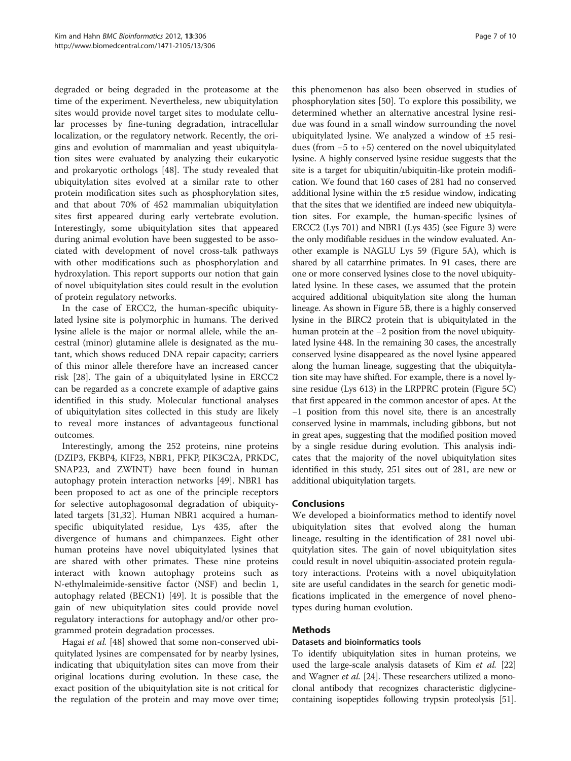degraded or being degraded in the proteasome at the time of the experiment. Nevertheless, new ubiquitylation sites would provide novel target sites to modulate cellular processes by fine-tuning degradation, intracellular localization, or the regulatory network. Recently, the origins and evolution of mammalian and yeast ubiquitylation sites were evaluated by analyzing their eukaryotic and prokaryotic orthologs [[48\]](#page-9-0). The study revealed that ubiquitylation sites evolved at a similar rate to other protein modification sites such as phosphorylation sites, and that about 70% of 452 mammalian ubiquitylation sites first appeared during early vertebrate evolution. Interestingly, some ubiquitylation sites that appeared during animal evolution have been suggested to be associated with development of novel cross-talk pathways with other modifications such as phosphorylation and hydroxylation. This report supports our notion that gain of novel ubiquitylation sites could result in the evolution of protein regulatory networks.

In the case of ERCC2, the human-specific ubiquitylated lysine site is polymorphic in humans. The derived lysine allele is the major or normal allele, while the ancestral (minor) glutamine allele is designated as the mutant, which shows reduced DNA repair capacity; carriers of this minor allele therefore have an increased cancer risk [\[28](#page-9-0)]. The gain of a ubiquitylated lysine in ERCC2 can be regarded as a concrete example of adaptive gains identified in this study. Molecular functional analyses of ubiquitylation sites collected in this study are likely to reveal more instances of advantageous functional outcomes.

Interestingly, among the 252 proteins, nine proteins (DZIP3, FKBP4, KIF23, NBR1, PFKP, PIK3C2A, PRKDC, SNAP23, and ZWINT) have been found in human autophagy protein interaction networks [\[49](#page-9-0)]. NBR1 has been proposed to act as one of the principle receptors for selective autophagosomal degradation of ubiquitylated targets [\[31,32](#page-9-0)]. Human NBR1 acquired a humanspecific ubiquitylated residue, Lys 435, after the divergence of humans and chimpanzees. Eight other human proteins have novel ubiquitylated lysines that are shared with other primates. These nine proteins interact with known autophagy proteins such as N-ethylmaleimide-sensitive factor (NSF) and beclin 1, autophagy related (BECN1) [\[49](#page-9-0)]. It is possible that the gain of new ubiquitylation sites could provide novel regulatory interactions for autophagy and/or other programmed protein degradation processes.

Hagai et al. [[48](#page-9-0)] showed that some non-conserved ubiquitylated lysines are compensated for by nearby lysines, indicating that ubiquitylation sites can move from their original locations during evolution. In these case, the exact position of the ubiquitylation site is not critical for the regulation of the protein and may move over time;

this phenomenon has also been observed in studies of phosphorylation sites [[50\]](#page-9-0). To explore this possibility, we determined whether an alternative ancestral lysine residue was found in a small window surrounding the novel ubiquitylated lysine. We analyzed a window of ±5 residues (from −5 to +5) centered on the novel ubiquitylated lysine. A highly conserved lysine residue suggests that the site is a target for ubiquitin/ubiquitin-like protein modification. We found that 160 cases of 281 had no conserved additional lysine within the ±5 residue window, indicating that the sites that we identified are indeed new ubiquitylation sites. For example, the human-specific lysines of ERCC2 (Lys 701) and NBR1 (Lys 435) (see Figure [3](#page-3-0)) were the only modifiable residues in the window evaluated. Another example is NAGLU Lys 59 (Figure [5](#page-7-0)A), which is shared by all catarrhine primates. In 91 cases, there are one or more conserved lysines close to the novel ubiquitylated lysine. In these cases, we assumed that the protein acquired additional ubiquitylation site along the human lineage. As shown in Figure [5](#page-7-0)B, there is a highly conserved lysine in the BIRC2 protein that is ubiquitylated in the human protein at the −2 position from the novel ubiquitylated lysine 448. In the remaining 30 cases, the ancestrally conserved lysine disappeared as the novel lysine appeared along the human lineage, suggesting that the ubiquitylation site may have shifted. For example, there is a novel lysine residue (Lys 613) in the LRPPRC protein (Figure [5C](#page-7-0)) that first appeared in the common ancestor of apes. At the −1 position from this novel site, there is an ancestrally conserved lysine in mammals, including gibbons, but not in great apes, suggesting that the modified position moved by a single residue during evolution. This analysis indicates that the majority of the novel ubiquitylation sites identified in this study, 251 sites out of 281, are new or additional ubiquitylation targets.

#### Conclusions

We developed a bioinformatics method to identify novel ubiquitylation sites that evolved along the human lineage, resulting in the identification of 281 novel ubiquitylation sites. The gain of novel ubiquitylation sites could result in novel ubiquitin-associated protein regulatory interactions. Proteins with a novel ubiquitylation site are useful candidates in the search for genetic modifications implicated in the emergence of novel phenotypes during human evolution.

#### Methods

#### Datasets and bioinformatics tools

To identify ubiquitylation sites in human proteins, we used the large-scale analysis datasets of Kim et al. [\[22](#page-9-0)] and Wagner *et al.* [\[24\]](#page-9-0). These researchers utilized a monoclonal antibody that recognizes characteristic diglycinecontaining isopeptides following trypsin proteolysis [[51](#page-9-0)].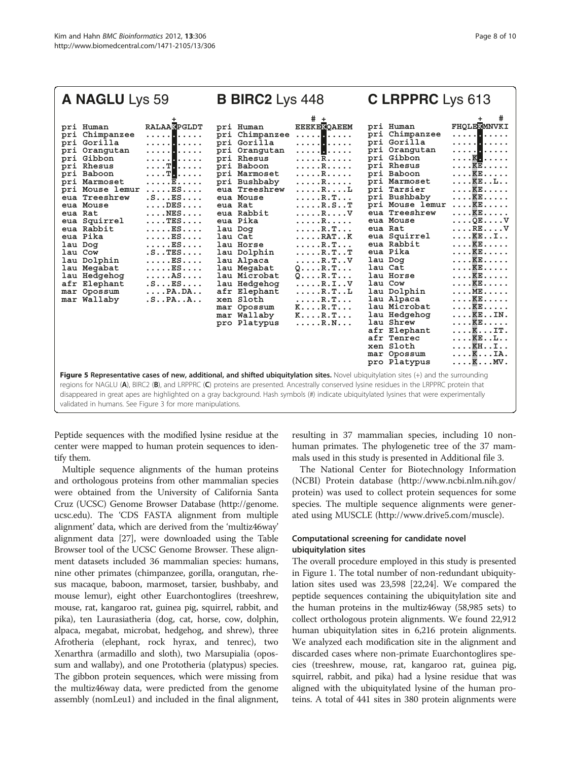<span id="page-7-0"></span>

| A NAGLU Lys 59                                                                                                                                                                                                                                                                                                                                                                                                                                                                                                                                                                                                                                                                                                         | <b>B BIRC2</b> Lys 448                                                                                                                                                                                                                                                                                                                                                               |                                                                                                                                                                                                                                                                                                                                                                                                                                                                                     | C LRPPRC Lys 613                                                                                                                                                                                                                                                                                                                                                                                                                                             |                                                                                                                                                                                                                                                                                                                                                                                                                                                                                    |  |
|------------------------------------------------------------------------------------------------------------------------------------------------------------------------------------------------------------------------------------------------------------------------------------------------------------------------------------------------------------------------------------------------------------------------------------------------------------------------------------------------------------------------------------------------------------------------------------------------------------------------------------------------------------------------------------------------------------------------|--------------------------------------------------------------------------------------------------------------------------------------------------------------------------------------------------------------------------------------------------------------------------------------------------------------------------------------------------------------------------------------|-------------------------------------------------------------------------------------------------------------------------------------------------------------------------------------------------------------------------------------------------------------------------------------------------------------------------------------------------------------------------------------------------------------------------------------------------------------------------------------|--------------------------------------------------------------------------------------------------------------------------------------------------------------------------------------------------------------------------------------------------------------------------------------------------------------------------------------------------------------------------------------------------------------------------------------------------------------|------------------------------------------------------------------------------------------------------------------------------------------------------------------------------------------------------------------------------------------------------------------------------------------------------------------------------------------------------------------------------------------------------------------------------------------------------------------------------------|--|
| <b>RALAA<sup>R</sup>PGLDT</b><br>pri Human<br>pri Chimpanzee<br>. <mark>.</mark><br>pri Gorilla<br>. <mark>.</mark><br>. <mark>.</mark><br>pri Orangutan<br>. <mark>.</mark><br>pri Gibbon<br>. T <mark>.</mark><br>pri Rhesus<br>. T <mark>.</mark><br>pri Baboon<br>pri Marmoset<br>. E<br>pri Mouse lemur<br>. ES<br>.S. <b>ES.</b><br>eua Treeshrew<br>eua Mouse<br>DES<br>$\ldots$ . NES<br>eua Rat<br>eua Squirrel<br>$\ldots$ . TES $\ldots$ .<br>eua Rabbit<br>. ES<br>eua Pika<br>. ES<br>$\ldots$ . $ES \ldots$ .<br>lau Dog<br>.S. . TES.<br>lau Cow<br>lau Dolphin<br>. ES<br>lau Megabat<br>. ES<br>lau Hedgehog<br>. AS<br>afr Elephant<br>.SES<br>$\ldots$ PA.DA<br>mar Opossum<br>mar Wallaby<br>.SPAA | pri Human<br>pri Chimpanzee<br>pri Gorilla<br>pri Orangutan<br>pri Rhesus<br>pri Baboon<br>pri Marmoset<br>pri Bushbaby<br>eua Treeshrew<br>eua Mouse<br>eua Rat<br>eua Rabbit<br>eua Pika<br>lau Dog<br>lau Cat<br>lau Horse<br>lau Dolphin<br>lau Alpaca<br>lau Megabat<br>lau Microbat<br>lau Hedgehog<br>afr Elephant<br>xen Sloth<br>mar Opossum<br>mar Wallaby<br>pro Platypus | # +<br><b>EEEKERQAEEM</b><br>. <mark>.</mark><br>. <mark>.</mark><br>. <mark>.</mark><br>. R<br>. R<br>. R<br>. R<br>. R L<br>. R . T<br>$\ldots$ . R. S. . T<br>. R V<br>. R<br>. R . T<br>$\ldots$ . RAT. . K<br>$\ldots$ . R. T. $\ldots$<br>$\ldots$ . R.TT<br>$\ldots$ . R. T. . V<br>$Q \ldots R \ldots$<br>$Q \ldots R \ldots$<br>$\ldots$ . R. I. . V<br>$\ldots$ . R. T. . L<br>$\ldots$ . R. T. $\ldots$<br>$K \ldots R \ldots$<br>$K \ldots R \cdot T \ldots$<br>. R . N | pri Human<br>pri Chimpanzee<br>pri Gorilla<br>pri Orangutan<br>pri Gibbon<br>pri Rhesus<br>pri Baboon<br>pri Marmoset<br>pri Tarsier<br>pri Bushbaby<br>pri Mouse lemur<br>eua Treeshrew<br>eua Mouse<br>eua Rat<br>eua Squirrel<br>eua Rabbit<br>eua Pika<br>lau Dog<br>lau Cat<br>lau Horse<br>lau Cow<br>lau Dolphin<br>lau Alpaca<br>lau Microbat<br>lau Hedgehog<br>lau Shrew<br>afr Elephant<br>afr Tenrec<br>xen Sloth<br>mar Opossum<br>pro Platypus | <b>FHOLEKMNVKI</b><br>. <mark>.</mark><br>. <mark>.</mark><br>. <mark>.</mark><br>. K <b>.</b><br>. KE<br>. KE<br>$\ldots$ . $KE$ $L$<br>. KE<br>. KE<br>. KE<br>. KE<br>$\ldots$ . QE $\ldots$ . V<br>$\ldots$ .RE $V$<br>KEI<br>. KE<br>$\ldots$ . $\mathbb{K} \mathbb{E} \ldots$ .<br>. KE<br>. KE<br>. KE<br>. KE<br>. ME<br>. KE<br>. KE<br>$\ldots$ KEIN.<br>. KE<br>$\ldots$ K $\ldots$ IT.<br>KEL<br>KHI<br>$\ldots$ K $\ldots$ IA.<br>$\ldots$ . $\mathbb{K} \ldots$ MV . |  |
| Figure 5 Representative cases of new, additional, and shifted ubiquitylation sites. Novel ubiquitylation sites (+) and the surrounding<br>regions for NAGLU (A), BIRC2 (B), and LRPPRC (C) proteins are presented. Ancestrally conserved lysine residues in the LRPPRC protein that<br>disappeared in great apes are highlighted on a gray background. Hash symbols (#) indicate ubiguitylated lysines that were experimentally<br>validated in humans. See Figure 3 for more manipulations.                                                                                                                                                                                                                           |                                                                                                                                                                                                                                                                                                                                                                                      |                                                                                                                                                                                                                                                                                                                                                                                                                                                                                     |                                                                                                                                                                                                                                                                                                                                                                                                                                                              |                                                                                                                                                                                                                                                                                                                                                                                                                                                                                    |  |

Peptide sequences with the modified lysine residue at the center were mapped to human protein sequences to identify them.

Multiple sequence alignments of the human proteins and orthologous proteins from other mammalian species were obtained from the University of California Santa Cruz (UCSC) Genome Browser Database [\(http://genome.](http://genome.ucsc.edu) [ucsc.edu\)](http://genome.ucsc.edu). The 'CDS FASTA alignment from multiple alignment' data, which are derived from the 'multiz46way' alignment data [\[27\]](#page-9-0), were downloaded using the Table Browser tool of the UCSC Genome Browser. These alignment datasets included 36 mammalian species: humans, nine other primates (chimpanzee, gorilla, orangutan, rhesus macaque, baboon, marmoset, tarsier, bushbaby, and mouse lemur), eight other Euarchontoglires (treeshrew, mouse, rat, kangaroo rat, guinea pig, squirrel, rabbit, and pika), ten Laurasiatheria (dog, cat, horse, cow, dolphin, alpaca, megabat, microbat, hedgehog, and shrew), three Afrotheria (elephant, rock hyrax, and tenrec), two Xenarthra (armadillo and sloth), two Marsupialia (opossum and wallaby), and one Prototheria (platypus) species. The gibbon protein sequences, which were missing from the multiz46way data, were predicted from the genome assembly (nomLeu1) and included in the final alignment,

resulting in 37 mammalian species, including 10 nonhuman primates. The phylogenetic tree of the 37 mammals used in this study is presented in Additional file [3.](#page-8-0)

The National Center for Biotechnology Information (NCBI) Protein database [\(http://www.ncbi.nlm.nih.gov/](http://www.ncbi.nlm.nih.gov/protein) [protein](http://www.ncbi.nlm.nih.gov/protein)) was used to collect protein sequences for some species. The multiple sequence alignments were generated using MUSCLE ([http://www.drive5.com/muscle\)](http://www.drive5.com/muscle).

### Computational screening for candidate novel ubiquitylation sites

The overall procedure employed in this study is presented in Figure [1](#page-1-0). The total number of non-redundant ubiquitylation sites used was 23,598 [\[22,24](#page-9-0)]. We compared the peptide sequences containing the ubiquitylation site and the human proteins in the multiz46way (58,985 sets) to collect orthologous protein alignments. We found 22,912 human ubiquitylation sites in 6,216 protein alignments. We analyzed each modification site in the alignment and discarded cases where non-primate Euarchontoglires species (treeshrew, mouse, rat, kangaroo rat, guinea pig, squirrel, rabbit, and pika) had a lysine residue that was aligned with the ubiquitylated lysine of the human proteins. A total of 441 sites in 380 protein alignments were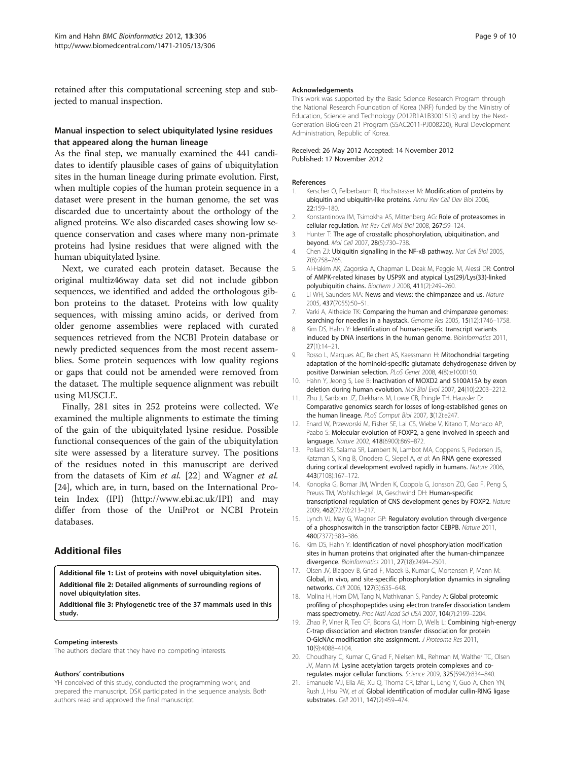<span id="page-8-0"></span>retained after this computational screening step and subjected to manual inspection.

#### Manual inspection to select ubiquitylated lysine residues that appeared along the human lineage

As the final step, we manually examined the 441 candidates to identify plausible cases of gains of ubiquitylation sites in the human lineage during primate evolution. First, when multiple copies of the human protein sequence in a dataset were present in the human genome, the set was discarded due to uncertainty about the orthology of the aligned proteins. We also discarded cases showing low sequence conservation and cases where many non-primate proteins had lysine residues that were aligned with the human ubiquitylated lysine.

Next, we curated each protein dataset. Because the original multiz46way data set did not include gibbon sequences, we identified and added the orthologous gibbon proteins to the dataset. Proteins with low quality sequences, with missing amino acids, or derived from older genome assemblies were replaced with curated sequences retrieved from the NCBI Protein database or newly predicted sequences from the most recent assemblies. Some protein sequences with low quality regions or gaps that could not be amended were removed from the dataset. The multiple sequence alignment was rebuilt using MUSCLE.

Finally, 281 sites in 252 proteins were collected. We examined the multiple alignments to estimate the timing of the gain of the ubiquitylated lysine residue. Possible functional consequences of the gain of the ubiquitylation site were assessed by a literature survey. The positions of the residues noted in this manuscript are derived from the datasets of Kim et al. [\[22](#page-9-0)] and Wagner et al. [[24\]](#page-9-0), which are, in turn, based on the International Protein Index (IPI) [\(http://www.ebi.ac.uk/IPI\)](http://www.ebi.ac.uk/IPI) and may differ from those of the UniProt or NCBI Protein databases.

#### Additional files

[Additional file 1:](http://www.biomedcentral.com/content/supplementary/1471-2105-13-306-S1.pdf) List of proteins with novel ubiquitylation sites. [Additional file 2:](http://www.biomedcentral.com/content/supplementary/1471-2105-13-306-S2.html) Detailed alignments of surrounding regions of novel ubiquitylation sites.

[Additional file 3:](http://www.biomedcentral.com/content/supplementary/1471-2105-13-306-S3.pdf) Phylogenetic tree of the 37 mammals used in this study.

#### Competing interests

The authors declare that they have no competing interests.

#### Authors' contributions

YH conceived of this study, conducted the programming work, and prepared the manuscript. DSK participated in the sequence analysis. Both authors read and approved the final manuscript.

#### Acknowledgements

This work was supported by the Basic Science Research Program through the National Research Foundation of Korea (NRF) funded by the Ministry of Education, Science and Technology (2012R1A1B3001513) and by the Next-Generation BioGreen 21 Program (SSAC2011-PJ008220), Rural Development Administration, Republic of Korea.

#### Received: 26 May 2012 Accepted: 14 November 2012 Published: 17 November 2012

#### References

- 1. Kerscher O, Felberbaum R, Hochstrasser M: Modification of proteins by ubiquitin and ubiquitin-like proteins. Annu Rev Cell Dev Biol 2006, 22:159–180.
- 2. Konstantinova IM, Tsimokha AS, Mittenberg AG: Role of proteasomes in cellular regulation. Int Rev Cell Mol Biol 2008, 267:59–124.
- 3. Hunter T: The age of crosstalk: phosphorylation, ubiquitination, and beyond. Mol Cell 2007, 28(5):730–738.
- 4. Chen ZJ: Ubiquitin signalling in the NF-κB pathway. Nat Cell Biol 2005, 7(8):758–765.
- 5. Al-Hakim AK, Zagorska A, Chapman L, Deak M, Peggie M, Alessi DR: Control of AMPK-related kinases by USP9X and atypical Lys(29)/Lys(33)-linked polyubiquitin chains. Biochem J 2008, 411(2):249–260.
- 6. Li WH, Saunders MA: News and views: the chimpanzee and us. Nature 2005, 437(7055):50–51.
- 7. Varki A, Altheide TK: Comparing the human and chimpanzee genomes: searching for needles in a haystack. Genome Res 2005, 15(12):1746–1758.
- 8. Kim DS, Hahn Y: Identification of human-specific transcript variants induced by DNA insertions in the human genome. Bioinformatics 2011, 27(1):14–21.
- 9. Rosso L, Marques AC, Reichert AS, Kaessmann H: Mitochondrial targeting adaptation of the hominoid-specific glutamate dehydrogenase driven by positive Darwinian selection. PLoS Genet 2008, 4(8):e1000150.
- 10. Hahn Y, Jeong S, Lee B: Inactivation of MOXD2 and S100A15A by exon deletion during human evolution. Mol Biol Evol 2007, 24(10):2203–2212.
- 11. Zhu J, Sanborn JZ, Diekhans M, Lowe CB, Pringle TH, Haussler D: Comparative genomics search for losses of long-established genes on the human lineage. PLoS Comput Biol 2007, 3(12):e247.
- 12. Enard W, Przeworski M, Fisher SE, Lai CS, Wiebe V, Kitano T, Monaco AP, Paabo S: Molecular evolution of FOXP2, a gene involved in speech and language. Nature 2002, 418(6900):869–872.
- 13. Pollard KS, Salama SR, Lambert N, Lambot MA, Coppens S, Pedersen JS, Katzman S, King B, Onodera C, Siepel A, et al: An RNA gene expressed during cortical development evolved rapidly in humans. Nature 2006, 443(7108):167–172.
- 14. Konopka G, Bomar JM, Winden K, Coppola G, Jonsson ZO, Gao F, Peng S, Preuss TM, Wohlschlegel JA, Geschwind DH: Human-specific transcriptional regulation of CNS development genes by FOXP2. Nature 2009, 462(7270):213–217.
- 15. Lynch VJ, May G, Wagner GP: Regulatory evolution through divergence of a phosphoswitch in the transcription factor CEBPB. Nature 2011, 480(7377):383–386.
- 16. Kim DS, Hahn Y: Identification of novel phosphorylation modification sites in human proteins that originated after the human-chimpanzee divergence. Bioinformatics 2011, 27(18):2494–2501.
- 17. Olsen JV, Blagoev B, Gnad F, Macek B, Kumar C, Mortensen P, Mann M: Global, in vivo, and site-specific phosphorylation dynamics in signaling networks. Cell 2006, 127(3):635–648.
- 18. Molina H, Horn DM, Tang N, Mathivanan S, Pandey A: Global proteomic profiling of phosphopeptides using electron transfer dissociation tandem mass spectrometry. Proc Natl Acad Sci USA 2007, 104(7):2199–2204.
- 19. Zhao P, Viner R, Teo CF, Boons GJ, Horn D, Wells L: Combining high-energy C-trap dissociation and electron transfer dissociation for protein O-GlcNAc modification site assignment. J Proteome Res 2011, 10(9):4088–4104.
- 20. Choudhary C, Kumar C, Gnad F, Nielsen ML, Rehman M, Walther TC, Olsen JV, Mann M: Lysine acetylation targets protein complexes and coregulates major cellular functions. Science 2009, 325(5942):834–840.
- 21. Emanuele MJ, Elia AE, Xu Q, Thoma CR, Izhar L, Leng Y, Guo A, Chen YN, Rush J, Hsu PW, et al: Global identification of modular cullin-RING ligase substrates. Cell 2011, 147(2):459–474.